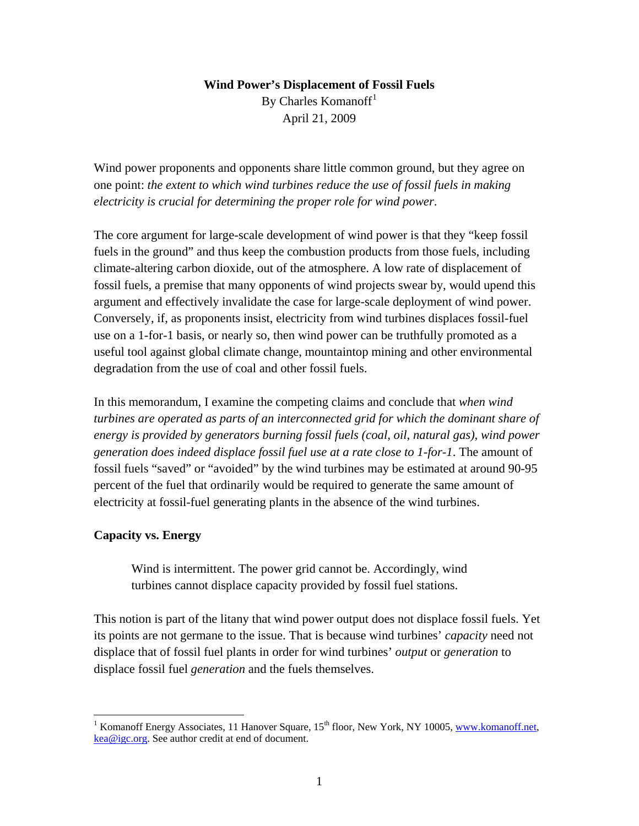# **Wind Power's Displacement of Fossil Fuels**  By Charles Komanoff<sup>[1](#page-0-0)</sup> April 21, 2009

Wind power proponents and opponents share little common ground, but they agree on one point: *the extent to which wind turbines reduce the use of fossil fuels in making electricity is crucial for determining the proper role for wind power*.

The core argument for large-scale development of wind power is that they "keep fossil fuels in the ground" and thus keep the combustion products from those fuels, including climate-altering carbon dioxide, out of the atmosphere. A low rate of displacement of fossil fuels, a premise that many opponents of wind projects swear by, would upend this argument and effectively invalidate the case for large-scale deployment of wind power. Conversely, if, as proponents insist, electricity from wind turbines displaces fossil-fuel use on a 1-for-1 basis, or nearly so, then wind power can be truthfully promoted as a useful tool against global climate change, mountaintop mining and other environmental degradation from the use of coal and other fossil fuels.

In this memorandum, I examine the competing claims and conclude that *when wind turbines are operated as parts of an interconnected grid for which the dominant share of energy is provided by generators burning fossil fuels (coal, oil, natural gas), wind power generation does indeed displace fossil fuel use at a rate close to 1-for-1*. The amount of fossil fuels "saved" or "avoided" by the wind turbines may be estimated at around 90-95 percent of the fuel that ordinarily would be required to generate the same amount of electricity at fossil-fuel generating plants in the absence of the wind turbines.

## **Capacity vs. Energy**

 $\overline{a}$ 

Wind is intermittent. The power grid cannot be. Accordingly, wind turbines cannot displace capacity provided by fossil fuel stations.

This notion is part of the litany that wind power output does not displace fossil fuels. Yet its points are not germane to the issue. That is because wind turbines' *capacity* need not displace that of fossil fuel plants in order for wind turbines' *output* or *generation* to displace fossil fuel *generation* and the fuels themselves.

<span id="page-0-0"></span><sup>&</sup>lt;sup>1</sup> Komanoff Energy Associates, 11 Hanover Square, 15<sup>th</sup> floor, New York, NY 10005, [www.komanoff.net](http://www.komanoff.net/), [kea@igc.org](mailto:kea@igc.org). See author credit at end of document.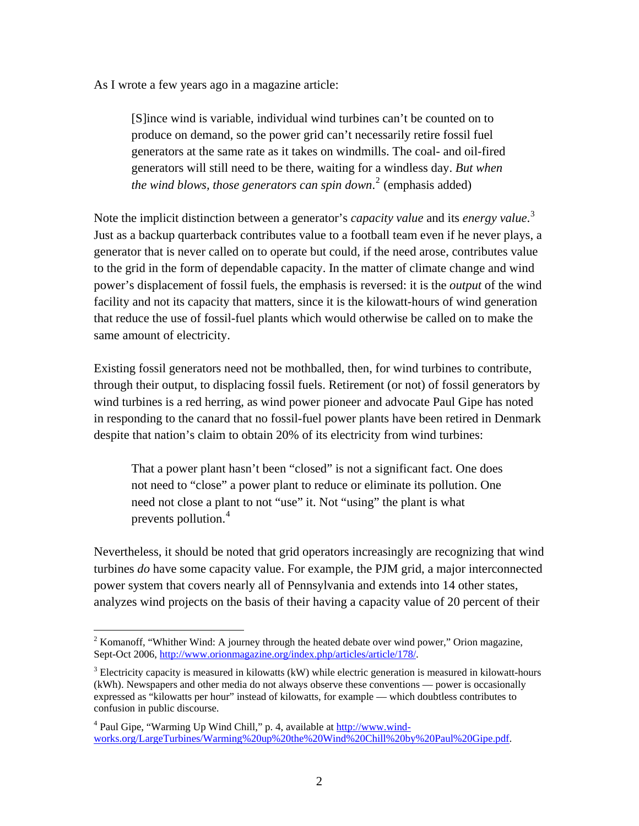As I wrote a few years ago in a magazine article:

[S]ince wind is variable, individual wind turbines can't be counted on to produce on demand, so the power grid can't necessarily retire fossil fuel generators at the same rate as it takes on windmills. The coal- and oil-fired generators will still need to be there, waiting for a windless day. *But when the wind blows, those generators can spin down*. [2](#page-1-0) (emphasis added)

Note the implicit distinction between a generator's *capacity value* and its *energy value*. [3](#page-1-1) Just as a backup quarterback contributes value to a football team even if he never plays, a generator that is never called on to operate but could, if the need arose, contributes value to the grid in the form of dependable capacity. In the matter of climate change and wind power's displacement of fossil fuels, the emphasis is reversed: it is the *output* of the wind facility and not its capacity that matters, since it is the kilowatt-hours of wind generation that reduce the use of fossil-fuel plants which would otherwise be called on to make the same amount of electricity.

Existing fossil generators need not be mothballed, then, for wind turbines to contribute, through their output, to displacing fossil fuels. Retirement (or not) of fossil generators by wind turbines is a red herring, as wind power pioneer and advocate Paul Gipe has noted in responding to the canard that no fossil-fuel power plants have been retired in Denmark despite that nation's claim to obtain 20% of its electricity from wind turbines:

That a power plant hasn't been "closed" is not a significant fact. One does not need to "close" a power plant to reduce or eliminate its pollution. One need not close a plant to not "use" it. Not "using" the plant is what prevents pollution.<sup>[4](#page-1-2)</sup>

Nevertheless, it should be noted that grid operators increasingly are recognizing that wind turbines *do* have some capacity value. For example, the PJM grid, a major interconnected power system that covers nearly all of Pennsylvania and extends into 14 other states, analyzes wind projects on the basis of their having a capacity value of 20 percent of their

<span id="page-1-0"></span><sup>&</sup>lt;sup>2</sup> Komanoff, "Whither Wind: A journey through the heated debate over wind power," Orion magazine, Sept-Oct 2006, [http://www.orionmagazine.org/index.php/articles/article/178/.](http://www.orionmagazine.org/index.php/articles/article/178/)

<span id="page-1-1"></span> $3$  Electricity capacity is measured in kilowatts (kW) while electric generation is measured in kilowatt-hours (kWh). Newspapers and other media do not always observe these conventions — power is occasionally expressed as "kilowatts per hour" instead of kilowatts, for example — which doubtless contributes to confusion in public discourse.

<span id="page-1-2"></span><sup>&</sup>lt;sup>4</sup> Paul Gipe, "Warming Up Wind Chill," p. 4, available at [http://www.wind](http://www.wind-works.org/LargeTurbines/Warming%20up%20the%20Wind%20Chill%20by%20Paul%20Gipe.pdf)[works.org/LargeTurbines/Warming%20up%20the%20Wind%20Chill%20by%20Paul%20Gipe.pdf](http://www.wind-works.org/LargeTurbines/Warming%20up%20the%20Wind%20Chill%20by%20Paul%20Gipe.pdf).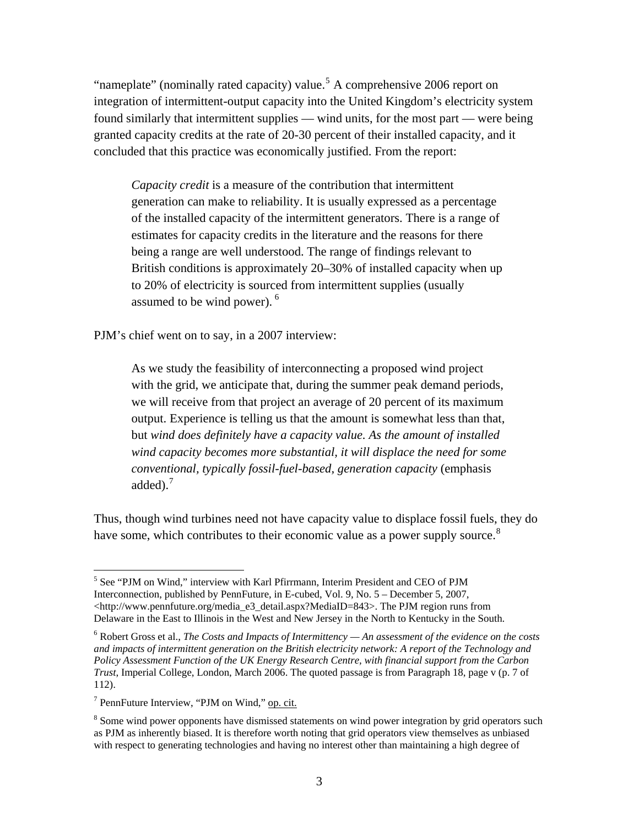"nameplate" (nominally rated capacity) value.<sup>[5](#page-2-0)</sup> A comprehensive 2006 report on integration of intermittent-output capacity into the United Kingdom's electricity system found similarly that intermittent supplies — wind units, for the most part — were being granted capacity credits at the rate of 20-30 percent of their installed capacity, and it concluded that this practice was economically justified. From the report:

*Capacity credit* is a measure of the contribution that intermittent generation can make to reliability. It is usually expressed as a percentage of the installed capacity of the intermittent generators. There is a range of estimates for capacity credits in the literature and the reasons for there being a range are well understood. The range of findings relevant to British conditions is approximately 20–30% of installed capacity when up to 20% of electricity is sourced from intermittent supplies (usually assumed to be wind power). <sup>[6](#page-2-1)</sup>

PJM's chief went on to say, in a 2007 interview:

As we study the feasibility of interconnecting a proposed wind project with the grid, we anticipate that, during the summer peak demand periods, we will receive from that project an average of 20 percent of its maximum output. Experience is telling us that the amount is somewhat less than that, but *wind does definitely have a capacity value. As the amount of installed wind capacity becomes more substantial, it will displace the need for some conventional, typically fossil-fuel-based, generation capacity* (emphasis added).<sup>[7](#page-2-2)</sup>

Thus, though wind turbines need not have capacity value to displace fossil fuels, they do have some, which contributes to their economic value as a power supply source.<sup>[8](#page-2-3)</sup>

<span id="page-2-0"></span><sup>&</sup>lt;sup>5</sup> See "PJM on Wind," interview with Karl Pfirrmann, Interim President and CEO of PJM Interconnection, published by PennFuture, in E-cubed, Vol. 9, No. 5 – December 5, 2007,  $\langle$ http://www.pennfuture.org/media\_e3\_detail.aspx?MediaID=843>. The PJM region runs from Delaware in the East to Illinois in the West and New Jersey in the North to Kentucky in the South.

<span id="page-2-1"></span><sup>6</sup> Robert Gross et al., *The Costs and Impacts of Intermittency — An assessment of the evidence on the costs and impacts of intermittent generation on the British electricity network: A report of the Technology and Policy Assessment Function of the UK Energy Research Centre, with financial support from the Carbon Trust*, Imperial College, London, March 2006. The quoted passage is from Paragraph 18, page v (p. 7 of 112).

<span id="page-2-2"></span><sup>&</sup>lt;sup>7</sup> PennFuture Interview, "PJM on Wind," op. cit.

<span id="page-2-3"></span><sup>&</sup>lt;sup>8</sup> Some wind power opponents have dismissed statements on wind power integration by grid operators such as PJM as inherently biased. It is therefore worth noting that grid operators view themselves as unbiased with respect to generating technologies and having no interest other than maintaining a high degree of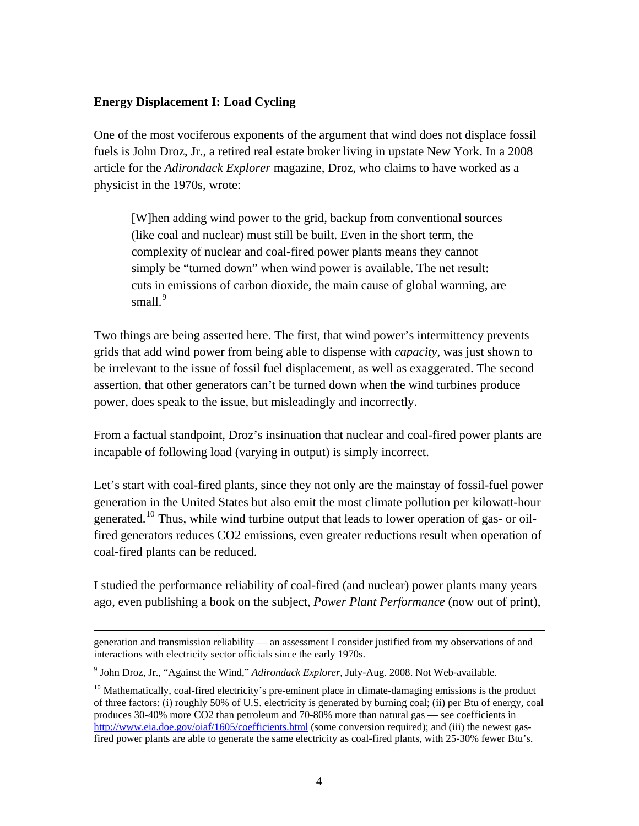# **Energy Displacement I: Load Cycling**

One of the most vociferous exponents of the argument that wind does not displace fossil fuels is John Droz, Jr., a retired real estate broker living in upstate New York. In a 2008 article for the *Adirondack Explorer* magazine, Droz, who claims to have worked as a physicist in the 1970s, wrote:

[W]hen adding wind power to the grid, backup from conventional sources (like coal and nuclear) must still be built. Even in the short term, the complexity of nuclear and coal-fired power plants means they cannot simply be "turned down" when wind power is available. The net result: cuts in emissions of carbon dioxide, the main cause of global warming, are small. $9$ 

Two things are being asserted here. The first, that wind power's intermittency prevents grids that add wind power from being able to dispense with *capacity*, was just shown to be irrelevant to the issue of fossil fuel displacement, as well as exaggerated. The second assertion, that other generators can't be turned down when the wind turbines produce power, does speak to the issue, but misleadingly and incorrectly.

From a factual standpoint, Droz's insinuation that nuclear and coal-fired power plants are incapable of following load (varying in output) is simply incorrect.

Let's start with coal-fired plants, since they not only are the mainstay of fossil-fuel power generation in the United States but also emit the most climate pollution per kilowatt-hour generated.<sup>[10](#page-3-1)</sup> Thus, while wind turbine output that leads to lower operation of gas- or oilfired generators reduces CO2 emissions, even greater reductions result when operation of coal-fired plants can be reduced.

I studied the performance reliability of coal-fired (and nuclear) power plants many years ago, even publishing a book on the subject, *Power Plant Performance* (now out of print),

generation and transmission reliability — an assessment I consider justified from my observations of and interactions with electricity sector officials since the early 1970s.

<span id="page-3-0"></span><sup>9</sup> John Droz, Jr., "Against the Wind," *Adirondack Explorer*, July-Aug. 2008. Not Web-available.

<span id="page-3-1"></span> $10$  Mathematically, coal-fired electricity's pre-eminent place in climate-damaging emissions is the product of three factors: (i) roughly 50% of U.S. electricity is generated by burning coal; (ii) per Btu of energy, coal produces 30-40% more CO2 than petroleum and 70-80% more than natural gas — see coefficients in <http://www.eia.doe.gov/oiaf/1605/coefficients.html> (some conversion required); and (iii) the newest gasfired power plants are able to generate the same electricity as coal-fired plants, with 25-30% fewer Btu's.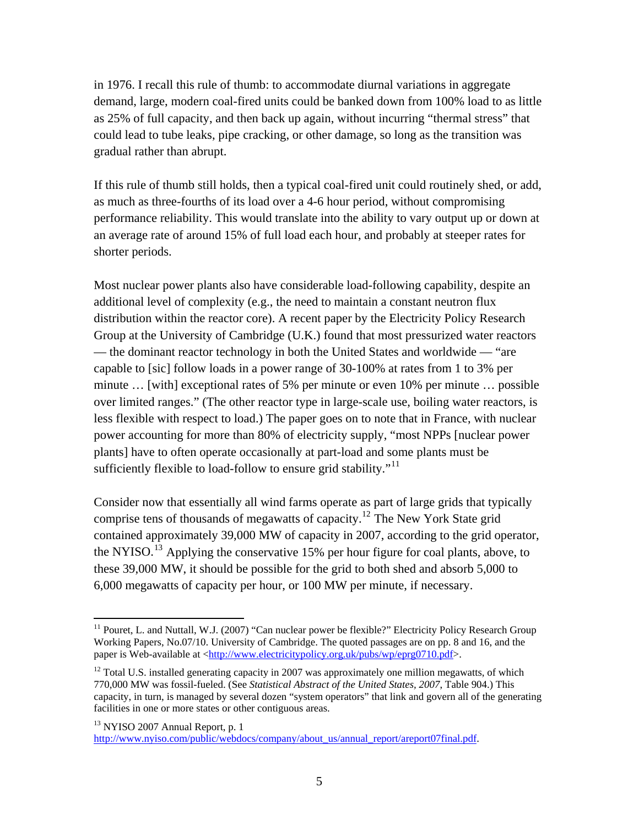in 1976. I recall this rule of thumb: to accommodate diurnal variations in aggregate demand, large, modern coal-fired units could be banked down from 100% load to as little as 25% of full capacity, and then back up again, without incurring "thermal stress" that could lead to tube leaks, pipe cracking, or other damage, so long as the transition was gradual rather than abrupt.

If this rule of thumb still holds, then a typical coal-fired unit could routinely shed, or add, as much as three-fourths of its load over a 4-6 hour period, without compromising performance reliability. This would translate into the ability to vary output up or down at an average rate of around 15% of full load each hour, and probably at steeper rates for shorter periods.

Most nuclear power plants also have considerable load-following capability, despite an additional level of complexity (e.g., the need to maintain a constant neutron flux distribution within the reactor core). A recent paper by the Electricity Policy Research Group at the University of Cambridge (U.K.) found that most pressurized water reactors — the dominant reactor technology in both the United States and worldwide — "are capable to [sic] follow loads in a power range of 30-100% at rates from 1 to 3% per minute … [with] exceptional rates of 5% per minute or even 10% per minute … possible over limited ranges." (The other reactor type in large-scale use, boiling water reactors, is less flexible with respect to load.) The paper goes on to note that in France, with nuclear power accounting for more than 80% of electricity supply, "most NPPs [nuclear power plants] have to often operate occasionally at part-load and some plants must be sufficiently flexible to load-follow to ensure grid stability."<sup>[11](#page-4-0)</sup>

Consider now that essentially all wind farms operate as part of large grids that typically comprise tens of thousands of megawatts of capacity.[12](#page-4-1) The New York State grid contained approximately 39,000 MW of capacity in 2007, according to the grid operator, the NYISO.<sup>[13](#page-4-2)</sup> Applying the conservative 15% per hour figure for coal plants, above, to these 39,000 MW, it should be possible for the grid to both shed and absorb 5,000 to 6,000 megawatts of capacity per hour, or 100 MW per minute, if necessary.

1

<span id="page-4-0"></span><sup>&</sup>lt;sup>11</sup> Pouret, L. and Nuttall, W.J. (2007) "Can nuclear power be flexible?" Electricity Policy Research Group Working Papers, No.07/10. University of Cambridge. The quoted passages are on pp. 8 and 16, and the paper is Web-available at [<http://www.electricitypolicy.org.uk/pubs/wp/eprg0710.pdf](http://www.electricitypolicy.org.uk/pubs/wp/eprg0710.pdf)>.

<span id="page-4-1"></span><sup>&</sup>lt;sup>12</sup> Total U.S. installed generating capacity in 2007 was approximately one million megawatts, of which 770,000 MW was fossil-fueled. (See *Statistical Abstract of the United States, 2007*, Table 904.) This capacity, in turn, is managed by several dozen "system operators" that link and govern all of the generating facilities in one or more states or other contiguous areas.

<span id="page-4-2"></span><sup>&</sup>lt;sup>13</sup> NYISO 2007 Annual Report, p. 1

[http://www.nyiso.com/public/webdocs/company/about\\_us/annual\\_report/areport07final.pdf.](http://www.nyiso.com/public/webdocs/company/about_us/annual_report/areport07final.pdf)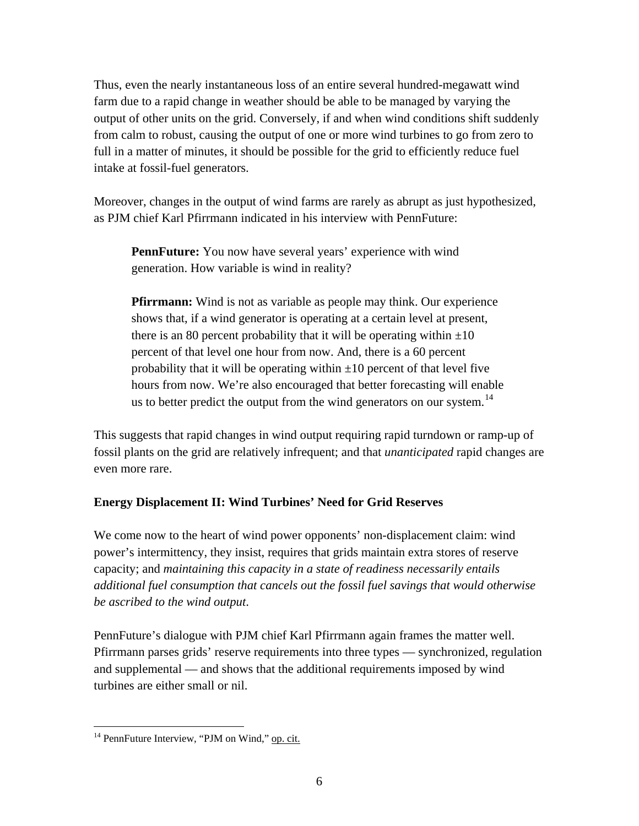Thus, even the nearly instantaneous loss of an entire several hundred-megawatt wind farm due to a rapid change in weather should be able to be managed by varying the output of other units on the grid. Conversely, if and when wind conditions shift suddenly from calm to robust, causing the output of one or more wind turbines to go from zero to full in a matter of minutes, it should be possible for the grid to efficiently reduce fuel intake at fossil-fuel generators.

Moreover, changes in the output of wind farms are rarely as abrupt as just hypothesized, as PJM chief Karl Pfirrmann indicated in his interview with PennFuture:

**PennFuture:** You now have several years' experience with wind generation. How variable is wind in reality?

**Pfirrmann:** Wind is not as variable as people may think. Our experience shows that, if a wind generator is operating at a certain level at present, there is an 80 percent probability that it will be operating within  $\pm 10$ percent of that level one hour from now. And, there is a 60 percent probability that it will be operating within  $\pm 10$  percent of that level five hours from now. We're also encouraged that better forecasting will enable us to better predict the output from the wind generators on our system.<sup>[14](#page-5-0)</sup>

This suggests that rapid changes in wind output requiring rapid turndown or ramp-up of fossil plants on the grid are relatively infrequent; and that *unanticipated* rapid changes are even more rare.

# **Energy Displacement II: Wind Turbines' Need for Grid Reserves**

We come now to the heart of wind power opponents' non-displacement claim: wind power's intermittency, they insist, requires that grids maintain extra stores of reserve capacity; and *maintaining this capacity in a state of readiness necessarily entails additional fuel consumption that cancels out the fossil fuel savings that would otherwise be ascribed to the wind output*.

PennFuture's dialogue with PJM chief Karl Pfirrmann again frames the matter well. Pfirrmann parses grids' reserve requirements into three types — synchronized, regulation and supplemental — and shows that the additional requirements imposed by wind turbines are either small or nil.

<span id="page-5-0"></span> $\overline{a}$ <sup>14</sup> PennFuture Interview, "PJM on Wind," op. cit.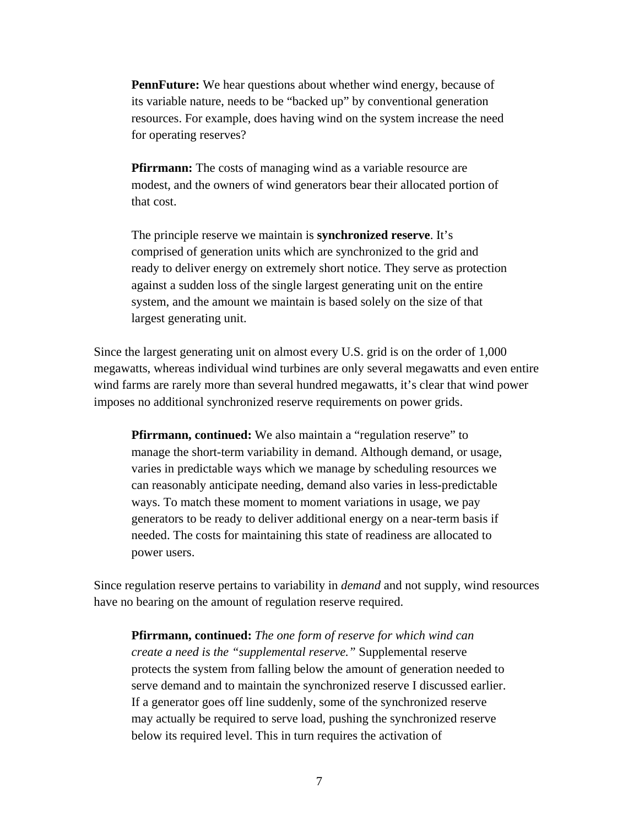**PennFuture:** We hear questions about whether wind energy, because of its variable nature, needs to be "backed up" by conventional generation resources. For example, does having wind on the system increase the need for operating reserves?

**Pfirrmann:** The costs of managing wind as a variable resource are modest, and the owners of wind generators bear their allocated portion of that cost.

The principle reserve we maintain is **synchronized reserve**. It's comprised of generation units which are synchronized to the grid and ready to deliver energy on extremely short notice. They serve as protection against a sudden loss of the single largest generating unit on the entire system, and the amount we maintain is based solely on the size of that largest generating unit.

Since the largest generating unit on almost every U.S. grid is on the order of 1,000 megawatts, whereas individual wind turbines are only several megawatts and even entire wind farms are rarely more than several hundred megawatts, it's clear that wind power imposes no additional synchronized reserve requirements on power grids.

**Pfirrmann, continued:** We also maintain a "regulation reserve" to manage the short-term variability in demand. Although demand, or usage, varies in predictable ways which we manage by scheduling resources we can reasonably anticipate needing, demand also varies in less-predictable ways. To match these moment to moment variations in usage, we pay generators to be ready to deliver additional energy on a near-term basis if needed. The costs for maintaining this state of readiness are allocated to power users.

Since regulation reserve pertains to variability in *demand* and not supply, wind resources have no bearing on the amount of regulation reserve required.

**Pfirrmann, continued:** *The one form of reserve for which wind can create a need is the "supplemental reserve."* Supplemental reserve protects the system from falling below the amount of generation needed to serve demand and to maintain the synchronized reserve I discussed earlier. If a generator goes off line suddenly, some of the synchronized reserve may actually be required to serve load, pushing the synchronized reserve below its required level. This in turn requires the activation of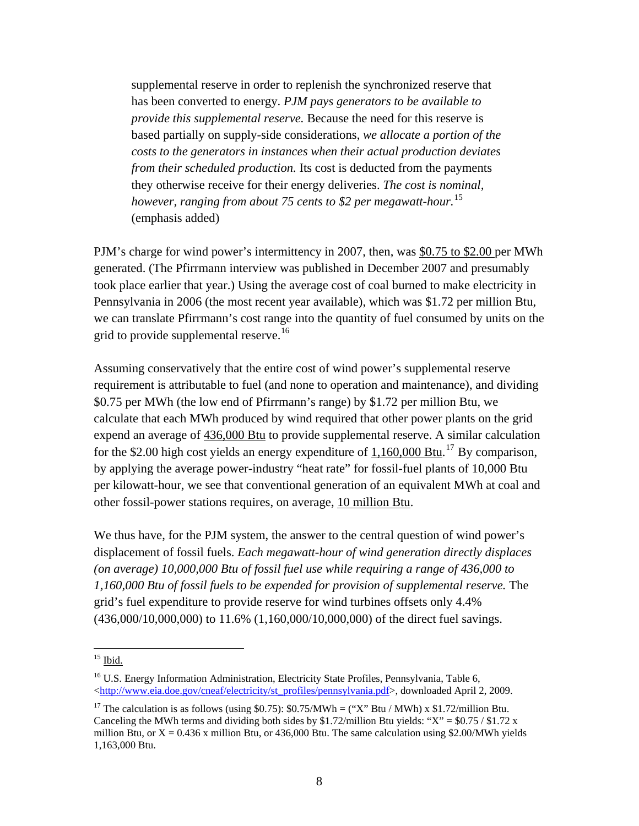supplemental reserve in order to replenish the synchronized reserve that has been converted to energy. *PJM pays generators to be available to provide this supplemental reserve.* Because the need for this reserve is based partially on supply-side considerations, *we allocate a portion of the costs to the generators in instances when their actual production deviates from their scheduled production.* Its cost is deducted from the payments they otherwise receive for their energy deliveries. *The cost is nominal, however, ranging from about 75 cents to \$2 per megawatt-hour.*[15](#page-7-0) (emphasis added)

PJM's charge for wind power's intermittency in 2007, then, was \$0.75 to \$2.00 per MWh generated. (The Pfirrmann interview was published in December 2007 and presumably took place earlier that year.) Using the average cost of coal burned to make electricity in Pennsylvania in 2006 (the most recent year available), which was \$1.72 per million Btu, we can translate Pfirrmann's cost range into the quantity of fuel consumed by units on the grid to provide supplemental reserve.<sup>16</sup>

Assuming conservatively that the entire cost of wind power's supplemental reserve requirement is attributable to fuel (and none to operation and maintenance), and dividing \$0.75 per MWh (the low end of Pfirrmann's range) by \$1.72 per million Btu, we calculate that each MWh produced by wind required that other power plants on the grid expend an average of 436,000 Btu to provide supplemental reserve. A similar calculation for the \$2.00 high cost yields an energy expenditure of  $1,160,000$  Btu.<sup>[17](#page-7-2)</sup> By comparison, by applying the average power-industry "heat rate" for fossil-fuel plants of 10,000 Btu per kilowatt-hour, we see that conventional generation of an equivalent MWh at coal and other fossil-power stations requires, on average, 10 million Btu.

We thus have, for the PJM system, the answer to the central question of wind power's displacement of fossil fuels. *Each megawatt-hour of wind generation directly displaces (on average) 10,000,000 Btu of fossil fuel use while requiring a range of 436,000 to 1,160,000 Btu of fossil fuels to be expended for provision of supplemental reserve.* The grid's fuel expenditure to provide reserve for wind turbines offsets only 4.4% (436,000/10,000,000) to 11.6% (1,160,000/10,000,000) of the direct fuel savings.

<span id="page-7-0"></span> $15$  Ibid.

<span id="page-7-1"></span><sup>&</sup>lt;sup>16</sup> U.S. Energy Information Administration, Electricity State Profiles, Pennsylvania, Table 6, <[http://www.eia.doe.gov/cneaf/electricity/st\\_profiles/pennsylvania.pdf](http://www.eia.doe.gov/cneaf/electricity/st_profiles/pennsylvania.pdf)>, downloaded April 2, 2009.

<span id="page-7-2"></span><sup>&</sup>lt;sup>17</sup> The calculation is as follows (using \$0.75): \$0.75/MWh = ("X" Btu / MWh) x \$1.72/million Btu. Canceling the MWh terms and dividing both sides by \$1.72/million Btu yields: "X" =  $$0.75 / $1.72 \text{ x}$ million Btu, or  $X = 0.436$  x million Btu, or 436,000 Btu. The same calculation using \$2.00/MWh yields 1,163,000 Btu.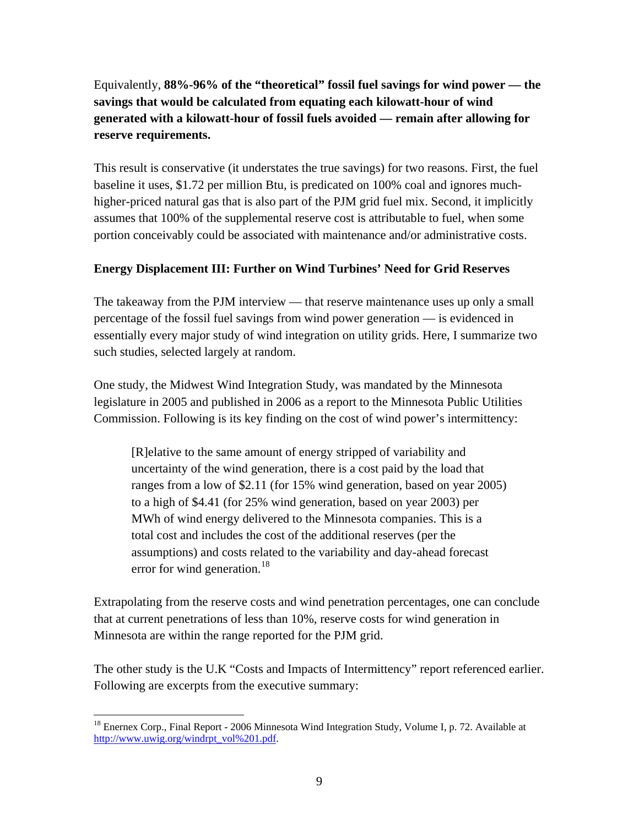Equivalently, **88%-96% of the "theoretical" fossil fuel savings for wind power — the savings that would be calculated from equating each kilowatt-hour of wind generated with a kilowatt-hour of fossil fuels avoided — remain after allowing for reserve requirements.**

This result is conservative (it understates the true savings) for two reasons. First, the fuel baseline it uses, \$1.72 per million Btu, is predicated on 100% coal and ignores muchhigher-priced natural gas that is also part of the PJM grid fuel mix. Second, it implicitly assumes that 100% of the supplemental reserve cost is attributable to fuel, when some portion conceivably could be associated with maintenance and/or administrative costs.

## **Energy Displacement III: Further on Wind Turbines' Need for Grid Reserves**

The takeaway from the PJM interview — that reserve maintenance uses up only a small percentage of the fossil fuel savings from wind power generation — is evidenced in essentially every major study of wind integration on utility grids. Here, I summarize two such studies, selected largely at random.

One study, the Midwest Wind Integration Study, was mandated by the Minnesota legislature in 2005 and published in 2006 as a report to the Minnesota Public Utilities Commission. Following is its key finding on the cost of wind power's intermittency:

[R]elative to the same amount of energy stripped of variability and uncertainty of the wind generation, there is a cost paid by the load that ranges from a low of \$2.11 (for 15% wind generation, based on year 2005) to a high of \$4.41 (for 25% wind generation, based on year 2003) per MWh of wind energy delivered to the Minnesota companies. This is a total cost and includes the cost of the additional reserves (per the assumptions) and costs related to the variability and day-ahead forecast error for wind generation.<sup>[18](#page-8-0)</sup>

Extrapolating from the reserve costs and wind penetration percentages, one can conclude that at current penetrations of less than 10%, reserve costs for wind generation in Minnesota are within the range reported for the PJM grid.

The other study is the U.K "Costs and Impacts of Intermittency" report referenced earlier. Following are excerpts from the executive summary:

<span id="page-8-0"></span><sup>&</sup>lt;sup>18</sup> Enernex Corp., Final Report - 2006 Minnesota Wind Integration Study, Volume I, p. 72. Available at [http://www.uwig.org/windrpt\\_vol%201.pdf.](http://www.uwig.org/windrpt_vol%201.pdf)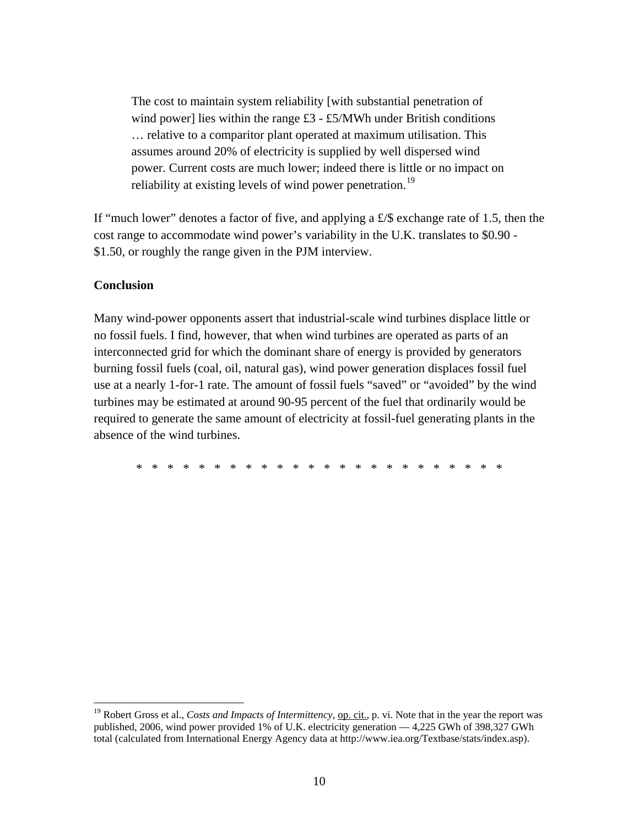The cost to maintain system reliability [with substantial penetration of wind power] lies within the range  $£3 - £5/MWh$  under British conditions … relative to a comparitor plant operated at maximum utilisation. This assumes around 20% of electricity is supplied by well dispersed wind power. Current costs are much lower; indeed there is little or no impact on reliability at existing levels of wind power penetration.<sup>[19](#page-9-0)</sup>

If "much lower" denotes a factor of five, and applying a  $\pounds$  exchange rate of 1.5, then the cost range to accommodate wind power's variability in the U.K. translates to \$0.90 - \$1.50, or roughly the range given in the PJM interview.

### **Conclusion**

 $\overline{a}$ 

Many wind-power opponents assert that industrial-scale wind turbines displace little or no fossil fuels. I find, however, that when wind turbines are operated as parts of an interconnected grid for which the dominant share of energy is provided by generators burning fossil fuels (coal, oil, natural gas), wind power generation displaces fossil fuel use at a nearly 1-for-1 rate. The amount of fossil fuels "saved" or "avoided" by the wind turbines may be estimated at around 90-95 percent of the fuel that ordinarily would be required to generate the same amount of electricity at fossil-fuel generating plants in the absence of the wind turbines.

\* \* \* \* \* \* \* \* \* \* \* \* \* \* \* \* \* \* \* \* \* \* \* \*

<span id="page-9-0"></span><sup>&</sup>lt;sup>19</sup> Robert Gross et al., *Costs and Impacts of Intermittency*, <u>op. cit.</u>, p. vi. Note that in the year the report was published, 2006, wind power provided 1% of U.K. electricity generation — 4,225 GWh of 398,327 GWh total (calculated from International Energy Agency data at http://www.iea.org/Textbase/stats/index.asp).